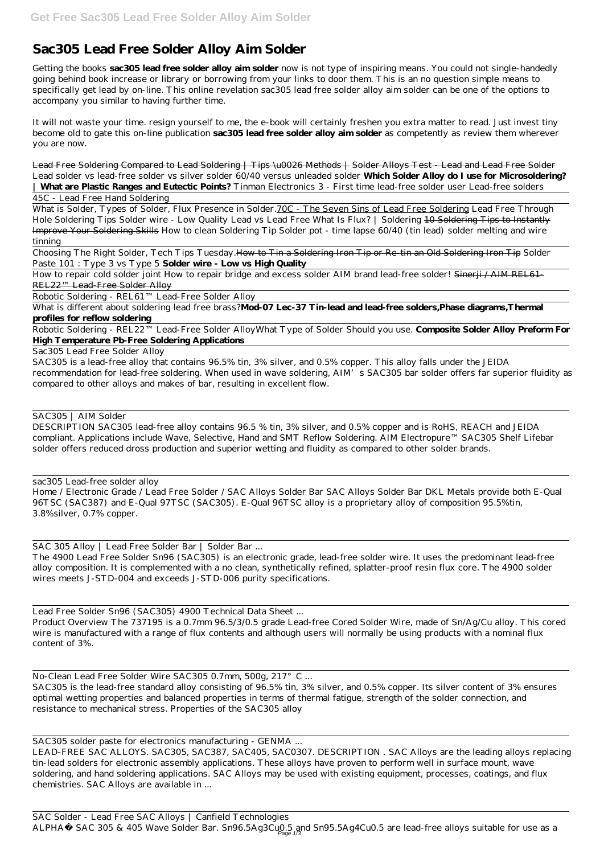## **Sac305 Lead Free Solder Alloy Aim Solder**

Getting the books **sac305 lead free solder alloy aim solder** now is not type of inspiring means. You could not single-handedly going behind book increase or library or borrowing from your links to door them. This is an no question simple means to specifically get lead by on-line. This online revelation sac305 lead free solder alloy aim solder can be one of the options to accompany you similar to having further time.

Lead Free Soldering Compared to Lead Soldering | Tips \u0026 Methods | Solder Alloys Test - Lead and Lead Free Solder Lead solder vs lead-free solder vs silver solder *60/40 versus unleaded solder* **Which Solder Alloy do I use for Microsoldering? | What are Plastic Ranges and Eutectic Points?** Tinman Electronics 3 - First time lead-free solder user Lead-free solders

It will not waste your time. resign yourself to me, the e-book will certainly freshen you extra matter to read. Just invest tiny become old to gate this on-line publication **sac305 lead free solder alloy aim solder** as competently as review them wherever you are now.

What is Solder, Types of Solder, Flux Presence in Solder. 70C - The Seven Sins of Lead Free Soldering Lead Free Through Hole Soldering Tips Solder wire - Low Quality Lead vs Lead Free What Is Flux? | Soldering 10 Soldering Tips to Instantly Improve Your Soldering Skills *How to clean Soldering Tip Solder pot - time lapse 60/40 (tin lead) solder melting and wire tinning*

How to repair cold solder joint How to repair bridge and excess solder AIM brand lead-free solder! Sinerji / AIM REL61-REL22™ Lead-Free Solder Alloy

45C - Lead Free Hand Soldering

Choosing The Right Solder, Tech Tips Tuesday.How to Tin a Soldering Iron Tip or Re-tin an Old Soldering Iron Tip *Solder Paste 101 : Type 3 vs Type 5* **Solder wire - Low vs High Quality**

Robotic Soldering - REL61™ Lead-Free Solder Alloy

What is different about soldering lead free brass?**Mod-07 Lec-37 Tin-lead and lead-free solders,Phase diagrams,Thermal profiles for reflow soldering**

Robotic Soldering - REL22™ Lead-Free Solder Alloy*What Type of Solder Should you use.* **Composite Solder Alloy Preform For High Temperature Pb-Free Soldering Applications**

Sac305 Lead Free Solder Alloy

SAC Solder - Lead Free SAC Alloys | Canfield Technologies ALPHA® SAC 305 & 405 Wave Solder Bar. Sn96.5Ag3Cu0.5 and Sn95.5Ag4Cu0.5 are lead-free alloys suitable for use as a

SAC305 is a lead-free alloy that contains 96.5% tin, 3% silver, and 0.5% copper. This alloy falls under the JEIDA recommendation for lead-free soldering. When used in wave soldering, AIM's SAC305 bar solder offers far superior fluidity as compared to other alloys and makes of bar, resulting in excellent flow.

SAC305 | AIM Solder

DESCRIPTION SAC305 lead-free alloy contains 96.5 % tin, 3% silver, and 0.5% copper and is RoHS, REACH and JEIDA compliant. Applications include Wave, Selective, Hand and SMT Reflow Soldering. AIM Electropure™ SAC305 Shelf Lifebar solder offers reduced dross production and superior wetting and fluidity as compared to other solder brands.

sac305 Lead-free solder alloy

Home / Electronic Grade / Lead Free Solder / SAC Alloys Solder Bar SAC Alloys Solder Bar DKL Metals provide both E-Qual 96TSC (SAC387) and E-Qual 97TSC (SAC305). E-Qual 96TSC alloy is a proprietary alloy of composition 95.5%tin, 3.8%silver, 0.7% copper.

SAC 305 Alloy | Lead Free Solder Bar | Solder Bar ...

The 4900 Lead Free Solder Sn96 (SAC305) is an electronic grade, lead-free solder wire. It uses the predominant lead-free alloy composition. It is complemented with a no clean, synthetically refined, splatter-proof resin flux core. The 4900 solder wires meets J-STD-004 and exceeds J-STD-006 purity specifications.

Lead Free Solder Sn96 (SAC305) 4900 Technical Data Sheet ...

Product Overview The 737195 is a 0.7mm 96.5/3/0.5 grade Lead-free Cored Solder Wire, made of Sn/Ag/Cu alloy. This cored wire is manufactured with a range of flux contents and although users will normally be using products with a nominal flux content of 3%.

No-Clean Lead Free Solder Wire SAC305 0.7mm, 500g, 217°C ... SAC305 is the lead-free standard alloy consisting of 96.5% tin, 3% silver, and 0.5% copper. Its silver content of 3% ensures optimal wetting properties and balanced properties in terms of thermal fatigue, strength of the solder connection, and resistance to mechanical stress. Properties of the SAC305 alloy

SAC305 solder paste for electronics manufacturing - GENMA ...

LEAD-FREE SAC ALLOYS. SAC305, SAC387, SAC405, SAC0307. DESCRIPTION . SAC Alloys are the leading alloys replacing tin-lead solders for electronic assembly applications. These alloys have proven to perform well in surface mount, wave soldering, and hand soldering applications. SAC Alloys may be used with existing equipment, processes, coatings, and flux chemistries. SAC Alloys are available in ...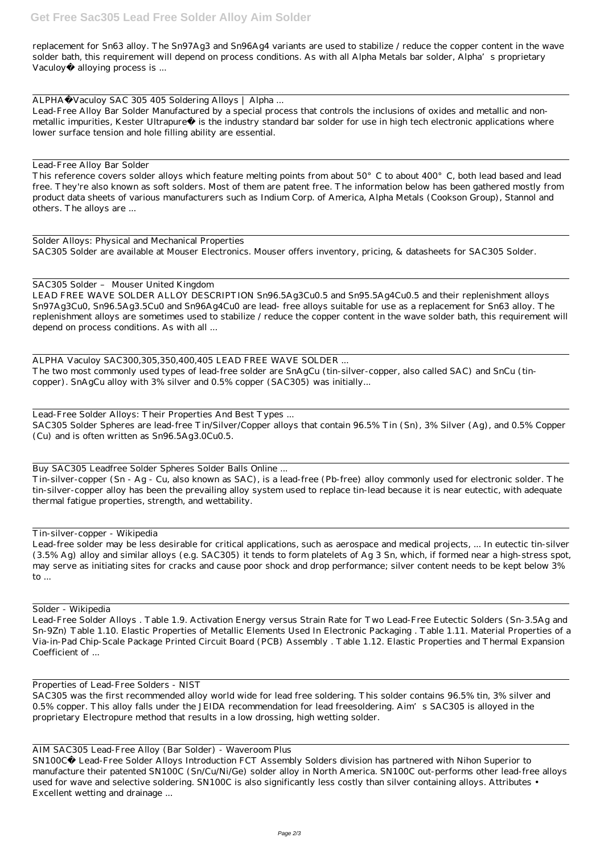## **Get Free Sac305 Lead Free Solder Alloy Aim Solder**

replacement for Sn63 alloy. The Sn97Ag3 and Sn96Ag4 variants are used to stabilize / reduce the copper content in the wave solder bath, this requirement will depend on process conditions. As with all Alpha Metals bar solder, Alpha's proprietary Vaculoy® alloying process is ...

ALPHA®Vaculoy SAC 305 405 Soldering Alloys | Alpha ...

Lead-Free Alloy Bar Solder Manufactured by a special process that controls the inclusions of oxides and metallic and nonmetallic impurities, Kester Ultrapure® is the industry standard bar solder for use in high tech electronic applications where lower surface tension and hole filling ability are essential.

This reference covers solder alloys which feature melting points from about 50°C to about 400°C, both lead based and lead free. They're also known as soft solders. Most of them are patent free. The information below has been gathered mostly from product data sheets of various manufacturers such as Indium Corp. of America, Alpha Metals (Cookson Group), Stannol and others. The alloys are ...

Lead-Free Alloy Bar Solder

Solder Alloys: Physical and Mechanical Properties SAC305 Solder are available at Mouser Electronics. Mouser offers inventory, pricing, & datasheets for SAC305 Solder.

SAC305 Solder – Mouser United Kingdom LEAD FREE WAVE SOLDER ALLOY DESCRIPTION Sn96.5Ag3Cu0.5 and Sn95.5Ag4Cu0.5 and their replenishment alloys Sn97Ag3Cu0, Sn96.5Ag3.5Cu0 and Sn96Ag4Cu0 are lead- free alloys suitable for use as a replacement for Sn63 alloy. The replenishment alloys are sometimes used to stabilize / reduce the copper content in the wave solder bath, this requirement will depend on process conditions. As with all ...

ALPHA Vaculoy SAC300,305,350,400,405 LEAD FREE WAVE SOLDER ... The two most commonly used types of lead-free solder are SnAgCu (tin-silver-copper, also called SAC) and SnCu (tincopper). SnAgCu alloy with 3% silver and 0.5% copper (SAC305) was initially...

Lead-Free Solder Alloys: Their Properties And Best Types ... SAC305 Solder Spheres are lead-free Tin/Silver/Copper alloys that contain 96.5% Tin (Sn), 3% Silver (Ag), and 0.5% Copper (Cu) and is often written as Sn96.5Ag3.0Cu0.5.

Buy SAC305 Leadfree Solder Spheres Solder Balls Online ...

Tin-silver-copper (Sn - Ag - Cu, also known as SAC), is a lead-free (Pb-free) alloy commonly used for electronic solder. The tin-silver-copper alloy has been the prevailing alloy system used to replace tin-lead because it is near eutectic, with adequate thermal fatigue properties, strength, and wettability.

## Tin-silver-copper - Wikipedia

Lead-free solder may be less desirable for critical applications, such as aerospace and medical projects, ... In eutectic tin-silver (3.5% Ag) alloy and similar alloys (e.g. SAC305) it tends to form platelets of Ag 3 Sn, which, if formed near a high-stress spot, may serve as initiating sites for cracks and cause poor shock and drop performance; silver content needs to be kept below 3% to ...

Solder - Wikipedia

Lead-Free Solder Alloys . Table 1.9. Activation Energy versus Strain Rate for Two Lead-Free Eutectic Solders (Sn-3.5Ag and Sn-9Zn) Table 1.10. Elastic Properties of Metallic Elements Used In Electronic Packaging . Table 1.11. Material Properties of a Via-in-Pad Chip-Scale Package Printed Circuit Board (PCB) Assembly . Table 1.12. Elastic Properties and Thermal Expansion Coefficient of ...

Properties of Lead-Free Solders - NIST

SAC305 was the first recommended alloy world wide for lead free soldering. This solder contains 96.5% tin, 3% silver and 0.5% copper. This alloy falls under the JEIDA recommendation for lead freesoldering. Aim's SAC305 is alloyed in the proprietary Electropure method that results in a low drossing, high wetting solder.

AIM SAC305 Lead-Free Alloy (Bar Solder) - Waveroom Plus

SN100C® Lead-Free Solder Alloys Introduction FCT Assembly Solders division has partnered with Nihon Superior to manufacture their patented SN100C (Sn/Cu/Ni/Ge) solder alloy in North America. SN100C out-performs other lead-free alloys used for wave and selective soldering. SN100C is also significantly less costly than silver containing alloys. Attributes • Excellent wetting and drainage ...